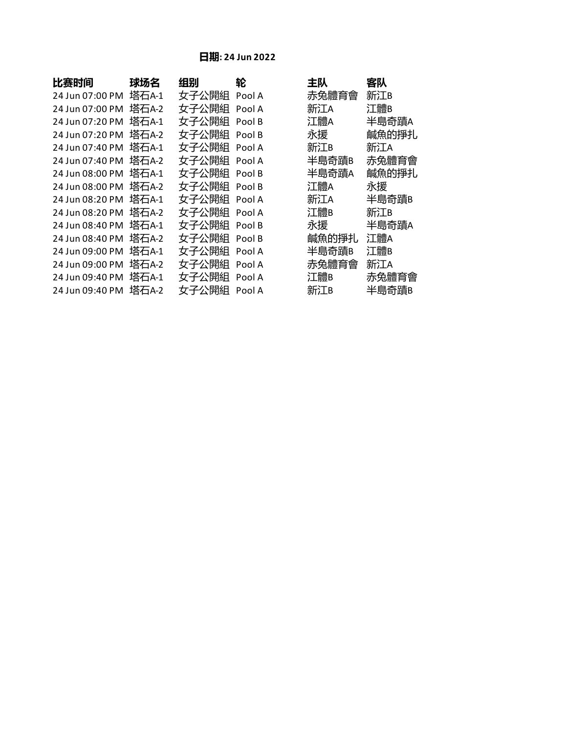## **日期: 24 Jun 2022**

| 比赛时间            | 球场名   | 组别    | 轮      | 主队    | 客队    |
|-----------------|-------|-------|--------|-------|-------|
| 24 Jun 07:00 PM | 塔石A-1 | 女子公開組 | Pool A | 赤兔體育會 | 新江B   |
| 24 Jun 07:00 PM | 塔石A-2 | 女子公開組 | Pool A | 新江A   | 江體B   |
| 24 Jun 07:20 PM | 塔石A-1 | 女子公開組 | Pool B | 江體A   | 半島奇蹟A |
| 24 Jun 07:20 PM | 塔石A-2 | 女子公開組 | Pool B | 永援    | 鹹魚的掙扎 |
| 24 Jun 07:40 PM | 塔石A-1 | 女子公開組 | Pool A | 新江B   | 新江A   |
| 24 Jun 07:40 PM | 塔石A-2 | 女子公開組 | Pool A | 半島奇蹟B | 赤兔體育會 |
| 24 Jun 08:00 PM | 塔石A-1 | 女子公開組 | Pool B | 半島奇蹟A | 鹹魚的掙扎 |
| 24 Jun 08:00 PM | 塔石A-2 | 女子公開組 | Pool B | 江體A   | 永援    |
| 24 Jun 08:20 PM | 塔石A-1 | 女子公開組 | Pool A | 新江A   | 半島奇蹟B |
| 24 Jun 08:20 PM | 塔石A-2 | 女子公開組 | Pool A | 江體B   | 新江B   |
| 24 Jun 08:40 PM | 塔石A-1 | 女子公開組 | Pool B | 永援    | 半島奇蹟A |
| 24 Jun 08:40 PM | 塔石A-2 | 女子公開組 | Pool B | 鹹魚的掙扎 | 江體A   |
| 24 Jun 09:00 PM | 塔石A-1 | 女子公開組 | Pool A | 半島奇蹟B | 江體B   |
| 24 Jun 09:00 PM | 塔石A-2 | 女子公開組 | Pool A | 赤兔體育會 | 新江A   |
| 24 Jun 09:40 PM | 塔石A-1 | 女子公開組 | Pool A | 江體B   | 赤兔體育會 |
| 24 Jun 09:40 PM | 塔石A-2 | 女子公開組 | Pool A | 新江B   | 半島奇蹟B |
|                 |       |       |        |       |       |

| 土队    | 各队    |
|-------|-------|
| 赤兔體育會 | 新江B   |
| 新江A   | 江體B   |
| 江體A   | 半島奇蹟A |
| 永援    | 鹹魚的掙扎 |
| 新江B   | 新江A   |
| 半島奇蹟B | 赤兔體育會 |
| 半島奇蹟A | 鹹魚的掙扎 |
| 江體A   | 永援    |
| 新江A   | 半島奇蹟B |
| 江體B   | 新江B   |
| 永援    | 半島奇蹟A |
| 鹹魚的掙扎 | 江體A   |
| 半島奇蹟B | 江體B   |
| 赤兔體育會 | 新江A   |
| 江體B   | 赤兔體育會 |
| 新江B   | 半島奇蹟B |
|       |       |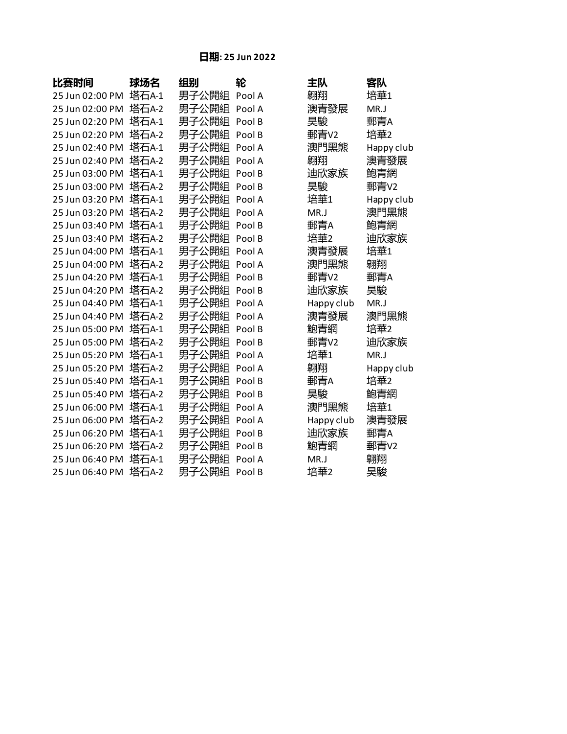## **日期: 25 Jun 2022**

| 比赛时间            | 球场名   | 组别    | 轮      | 主队         | 客队         |
|-----------------|-------|-------|--------|------------|------------|
| 25 Jun 02:00 PM | 塔石A-1 | 男子公開組 | Pool A | 翱翔         | 培華1        |
| 25 Jun 02:00 PM | 塔石A-2 | 男子公開組 | Pool A | 澳青發展       | MR.J       |
| 25 Jun 02:20 PM | 塔石A-1 | 男子公開組 | Pool B | 昊駿         | 郵青A        |
| 25 Jun 02:20 PM | 塔石A-2 | 男子公開組 | Pool B | 郵青V2       | 培華2        |
| 25 Jun 02:40 PM | 塔石A-1 | 男子公開組 | Pool A | 澳門黑熊       | Happy club |
| 25 Jun 02:40 PM | 塔石A-2 | 男子公開組 | Pool A | 翺翔         | 澳青發展       |
| 25 Jun 03:00 PM | 塔石A-1 | 男子公開組 | Pool B | 迪欣家族       | 鮑青網        |
| 25 Jun 03:00 PM | 塔石A-2 | 男子公開組 | Pool B | 昊駿         | 郵青V2       |
| 25 Jun 03:20 PM | 塔石A-1 | 男子公開組 | Pool A | 培華1        | Happy club |
| 25 Jun 03:20 PM | 塔石A-2 | 男子公開組 | Pool A | MR.J       | 澳門黑熊       |
| 25 Jun 03:40 PM | 塔石A-1 | 男子公開組 | Pool B | 郵青A        | 鮑青網        |
| 25 Jun 03:40 PM | 塔石A-2 | 男子公開組 | Pool B | 培華2        | 迪欣家族       |
| 25 Jun 04:00 PM | 塔石A-1 | 男子公開組 | Pool A | 澳青發展       | 培華1        |
| 25 Jun 04:00 PM | 塔石A-2 | 男子公開組 | Pool A | 澳門黑熊       | 翱翔         |
| 25 Jun 04:20 PM | 塔石A-1 | 男子公開組 | Pool B | 郵青V2       | 郵青A        |
| 25 Jun 04:20 PM | 塔石A-2 | 男子公開組 | Pool B | 迪欣家族       | 昊駿         |
| 25 Jun 04:40 PM | 塔石A-1 | 男子公開組 | Pool A | Happy club | MR.J       |
| 25 Jun 04:40 PM | 塔石A-2 | 男子公開組 | Pool A | 澳青發展       | 澳門黑熊       |
| 25 Jun 05:00 PM | 塔石A-1 | 男子公開組 | Pool B | 鮑青網        | 培華2        |
| 25 Jun 05:00 PM | 塔石A-2 | 男子公開組 | Pool B | 郵青V2       | 迪欣家族       |
| 25 Jun 05:20 PM | 塔石A-1 | 男子公開組 | Pool A | 培華1        | MR.J       |
| 25 Jun 05:20 PM | 塔石A-2 | 男子公開組 | Pool A | 翱翔         | Happy club |
| 25 Jun 05:40 PM | 塔石A-1 | 男子公開組 | Pool B | 郵青A        | 培華2        |
| 25 Jun 05:40 PM | 塔石A-2 | 男子公開組 | Pool B | 昊駿         | 鮑青網        |
| 25 Jun 06:00 PM | 塔石A-1 | 男子公開組 | Pool A | 澳門黑熊       | 培華1        |
| 25 Jun 06:00 PM | 塔石A-2 | 男子公開組 | Pool A | Happy club | 澳青發展       |
| 25 Jun 06:20 PM | 塔石A-1 | 男子公開組 | Pool B | 迪欣家族       | 郵青A        |
| 25 Jun 06:20 PM | 塔石A-2 | 男子公開組 | Pool B | 鮑青網        | 郵青V2       |
| 25 Jun 06:40 PM | 塔石A-1 | 男子公開組 | Pool A | MR.J       | 翱翔         |
| 25 Jun 06:40 PM | 塔石A-2 | 男子公開組 | Pool B | 培華2        | 昊駿         |

| ЕW                                                                                        | 各队         |
|-------------------------------------------------------------------------------------------|------------|
| 蛡翔                                                                                        | 培華1        |
| 輿青發展                                                                                      | MR.J       |
| 是駿                                                                                        | 郵青A        |
| 郅青V2                                                                                      | 培華2        |
| 興門黑熊                                                                                      | Happy clul |
| 蛡翔                                                                                        | 澳青發展       |
| 迪欣家族                                                                                      | 鮑青網        |
| 是駿                                                                                        | 郵青v2       |
| 音華1                                                                                       | Happy clul |
| AR.J                                                                                      | 澳門黑熊       |
| 郵青A                                                                                       | 鮑青網        |
| 音華2                                                                                       | 迪欣家族       |
| 奥青發展                                                                                      | 培華1        |
| 興門黑熊                                                                                      | 翱翔         |
| 郅青V2                                                                                      | 郵青A        |
| 迪欣家族                                                                                      | 昊駿         |
| lappy club                                                                                | MR.J       |
| 輿青發展                                                                                      | 澳門黑熊       |
| 包青網                                                                                       | 培華2        |
| 郵青V2                                                                                      | 迪欣家族       |
| 音華1                                                                                       | MR.J       |
| 翢翔                                                                                        | Happy clul |
| 邹青A                                                                                       | 培華2        |
| こうしょう こくしょう こうきょう こうきょう こうきょう こうきょう こうきょう こうきょう こうきょう こうきょう こうしゃ こうしゃ こうしゃ こうしゃ こうしゃ こうしゃ | 鮑青網        |
| <b><sup>奥門黑熊</sup></b>                                                                    | 培華1        |
| lappy club                                                                                | 澳青發展       |
| 迪欣家族                                                                                      | 郵青A        |
| 包青網                                                                                       | 郵青v2       |
| AR.J                                                                                      | 翱翔         |
| 音華2                                                                                       | 昊駿         |
|                                                                                           |            |